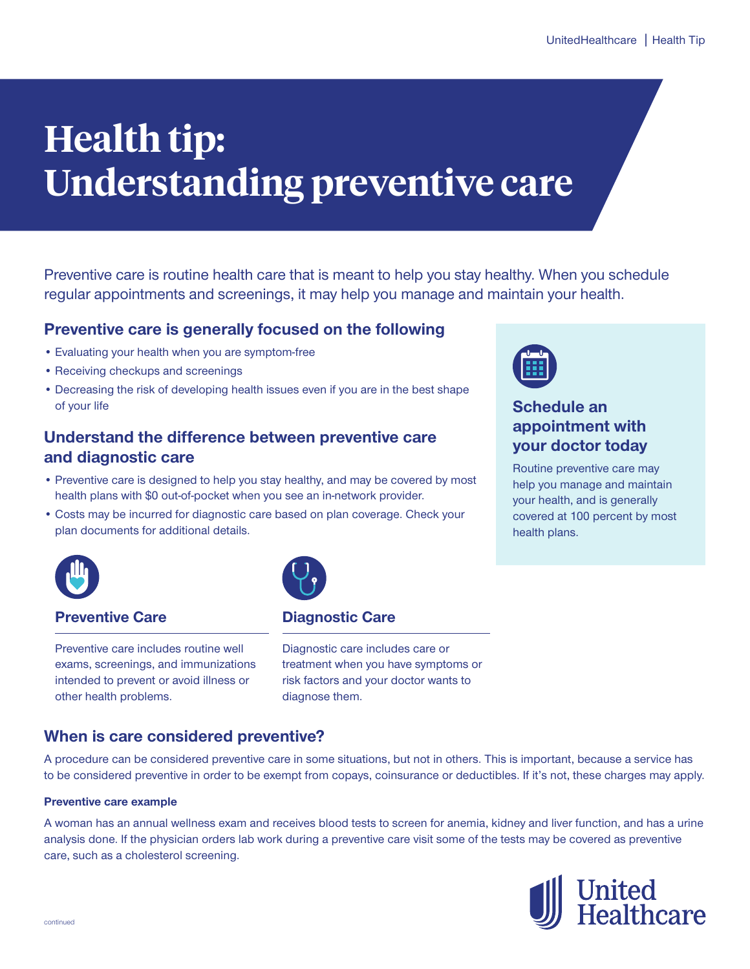**appointment with** 

health plans.

help you manage and maintain your health, and is generally covered at 100 percent by most

# **Health tip: Understanding preventive care**

Preventive care is routine health care that is meant to help you stay healthy. When you schedule regular appointments and screenings, it may help you manage and maintain your health.

### **Preventive care is generally focused on the following**

- Evaluating your health when you are symptom-free
- Receiving checkups and screenings
- • Decreasing the risk of developing health issues even if you are in the best shape of your life **Schedule an**

# Understand the difference between preventive care **which we have a very selling to the very set of the very set of the very set of the very set of the very set of the very set of the very set of the very set of the very se and diagnostic care and diagnostic care may**<br>Routine preventive care may

- Preventive care is designed to help you stay healthy, and may be covered by most health plans with \$0 out-of-pocket when you see an in-network provider.
- Costs may be incurred for diagnostic care based on plan coverage. Check your plan documents for additional details.



#### **Preventive Care Care Diagnostic Care**

Preventive care includes routine well exams, screenings, and immunizations intended to prevent or avoid illness or other health problems.



Diagnostic care includes care or treatment when you have symptoms or risk factors and your doctor wants to diagnose them.

## **When is care considered preventive?**

A procedure can be considered preventive care in some situations, but not in others. This is important, because a service has to be considered preventive in order to be exempt from copays, coinsurance or deductibles. If it's not, these charges may apply.

#### **Preventive care example**

A woman has an annual wellness exam and receives blood tests to screen for anemia, kidney and liver function, and has a urine analysis done. If the physician orders lab work during a preventive care visit some of the tests may be covered as preventive care, such as a cholesterol screening.



continued